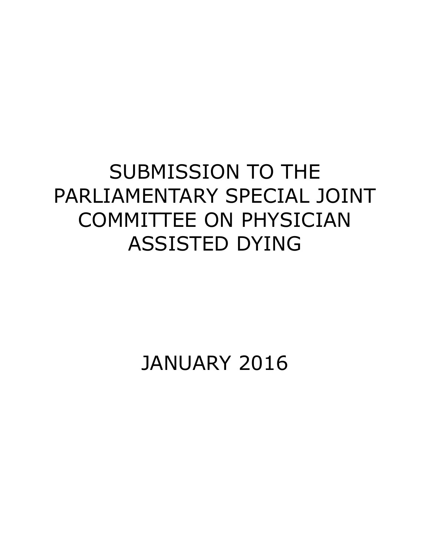## SUBMISSION TO THE PARLIAMENTARY SPECIAL JOINT COMMITTEE ON PHYSICIAN ASSISTED DYING

JANUARY 2016